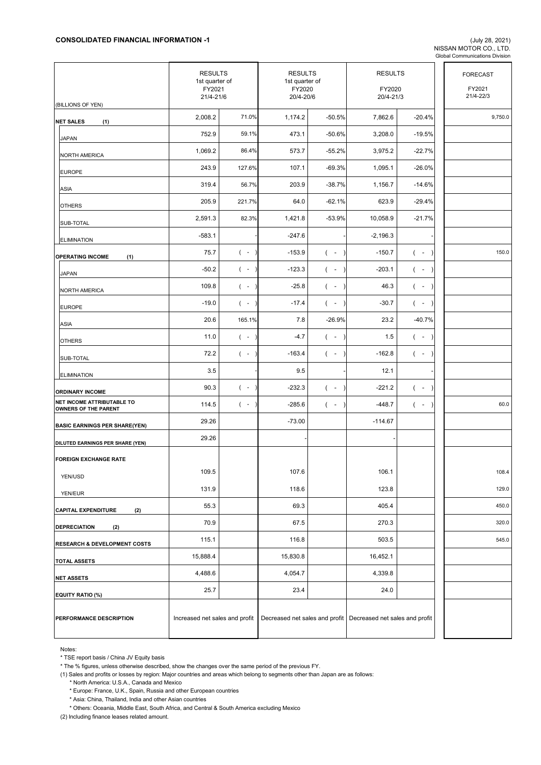NISSAN MOTOR CO., LTD. Global Communications Division

|                                                    | <b>RESULTS</b><br>1st quarter of<br>FY2021<br>21/4-21/6 |                    | <b>RESULTS</b><br>1st quarter of<br>FY2020<br>20/4-20/6 |                    | <b>RESULTS</b><br>FY2020<br>20/4-21/3                           |                    | <b>FORECAST</b><br>FY2021<br>21/4-22/3 |
|----------------------------------------------------|---------------------------------------------------------|--------------------|---------------------------------------------------------|--------------------|-----------------------------------------------------------------|--------------------|----------------------------------------|
| (BILLIONS OF YEN)                                  |                                                         |                    |                                                         |                    |                                                                 |                    |                                        |
| <b>NET SALES</b><br>(1)                            | 2,008.2                                                 | 71.0%              | 1,174.2                                                 | $-50.5%$           | 7,862.6                                                         | $-20.4%$           | 9,750.0                                |
| <b>JAPAN</b>                                       | 752.9                                                   | 59.1%              | 473.1                                                   | $-50.6%$           | 3,208.0                                                         | $-19.5%$           |                                        |
| <b>NORTH AMERICA</b>                               | 1,069.2                                                 | 86.4%              | 573.7                                                   | $-55.2%$           | 3,975.2                                                         | $-22.7%$           |                                        |
| <b>EUROPE</b>                                      | 243.9                                                   | 127.6%             | 107.1                                                   | $-69.3%$           | 1,095.1                                                         | $-26.0%$           |                                        |
| ASIA                                               | 319.4                                                   | 56.7%              | 203.9                                                   | $-38.7%$           | 1,156.7                                                         | $-14.6%$           |                                        |
| <b>OTHERS</b>                                      | 205.9                                                   | 221.7%             | 64.0                                                    | $-62.1%$           | 623.9                                                           | $-29.4%$           |                                        |
| SUB-TOTAL                                          | 2,591.3                                                 | 82.3%              | 1,421.8                                                 | $-53.9%$           | 10,058.9                                                        | $-21.7%$           |                                        |
| <b>ELIMINATION</b>                                 | $-583.1$                                                |                    | $-247.6$                                                |                    | $-2,196.3$                                                      |                    |                                        |
| <b>OPERATING INCOME</b><br>(1)                     | 75.7                                                    | $($ -              | $-153.9$                                                | $($ -              | $-150.7$                                                        | $($ -<br>$\lambda$ | 150.0                                  |
| <b>JAPAN</b>                                       | $-50.2$                                                 | $($ -              | $-123.3$                                                | $($ -              | $-203.1$                                                        | $($ -<br>$\lambda$ |                                        |
| <b>NORTH AMERICA</b>                               | 109.8                                                   | $($ -              | $-25.8$                                                 | $($ -              | 46.3                                                            | $($ -<br>$\lambda$ |                                        |
| <b>EUROPE</b>                                      | $-19.0$                                                 | $($ -              | $-17.4$                                                 | $($ -              | $-30.7$                                                         | $($ -<br>$\lambda$ |                                        |
| ASIA                                               | 20.6                                                    | 165.1%             | 7.8                                                     | $-26.9%$           | 23.2                                                            | $-40.7%$           |                                        |
| <b>OTHERS</b>                                      | 11.0                                                    | $($ -              | $-4.7$                                                  | $($ -              | 1.5                                                             | $($ -<br>$\lambda$ |                                        |
| SUB-TOTAL                                          | 72.2                                                    | $( - )$            | $-163.4$                                                | $($ -<br>$\lambda$ | $-162.8$                                                        | $($ -<br>$\lambda$ |                                        |
| <b>ELIMINATION</b>                                 | 3.5                                                     |                    | 9.5                                                     |                    | 12.1                                                            |                    |                                        |
| <b>ORDINARY INCOME</b>                             | 90.3                                                    | $($ -<br>$\lambda$ | $-232.3$                                                | $($ -              | $-221.2$                                                        | $($ -<br>$\lambda$ |                                        |
| NET INCOME ATTRIBUTABLE TO<br>OWNERS OF THE PARENT | 114.5                                                   | $($ -              | $-285.6$                                                | $($ -              | $-448.7$                                                        | $($ -<br>$\lambda$ | 60.0                                   |
| <b>BASIC EARNINGS PER SHARE(YEN)</b>               | 29.26                                                   |                    | $-73.00$                                                |                    | $-114.67$                                                       |                    |                                        |
| DILUTED EARNINGS PER SHARE (YEN)                   | 29.26                                                   |                    |                                                         |                    |                                                                 |                    |                                        |
| <b>FOREIGN EXCHANGE RATE</b>                       |                                                         |                    |                                                         |                    |                                                                 |                    |                                        |
| YEN/USD                                            | 109.5                                                   |                    | 107.6                                                   |                    | 106.1                                                           |                    | 108.4                                  |
| YEN/EUR                                            | 131.9                                                   |                    | 118.6                                                   |                    | 123.8                                                           |                    | 129.0                                  |
| <b>CAPITAL EXPENDITURE</b><br>(2)                  | 55.3                                                    |                    | 69.3                                                    |                    | 405.4                                                           |                    | 450.0                                  |
| <b>DEPRECIATION</b><br>(2)                         | 70.9                                                    |                    | 67.5                                                    |                    | 270.3                                                           |                    | 320.0                                  |
| RESEARCH & DEVELOPMENT COSTS                       | 115.1                                                   |                    | 116.8                                                   |                    | 503.5                                                           |                    | 545.0                                  |
| <b>TOTAL ASSETS</b>                                | 15,888.4                                                |                    | 15,830.8                                                |                    | 16,452.1                                                        |                    |                                        |
|                                                    | 4,488.6                                                 |                    | 4,054.7                                                 |                    | 4,339.8                                                         |                    |                                        |
| <b>NET ASSETS</b>                                  | 25.7                                                    |                    | 23.4                                                    |                    | 24.0                                                            |                    |                                        |
| EQUITY RATIO (%)<br>PERFORMANCE DESCRIPTION        | Increased net sales and profit                          |                    |                                                         |                    | Decreased net sales and profit   Decreased net sales and profit |                    |                                        |

Notes:

\* TSE report basis / China JV Equity basis

\* The % figures, unless otherwise described, show the changes over the same period of the previous FY.

(1) Sales and profits or losses by region: Major countries and areas which belong to segments other than Japan are as follows:

\* North America: U.S.A., Canada and Mexico

\* Europe: France, U.K., Spain, Russia and other European countries

\* Asia: China, Thailand, India and other Asian countries

\* Others: Oceania, Middle East, South Africa, and Central & South America excluding Mexico

(2) Including finance leases related amount.